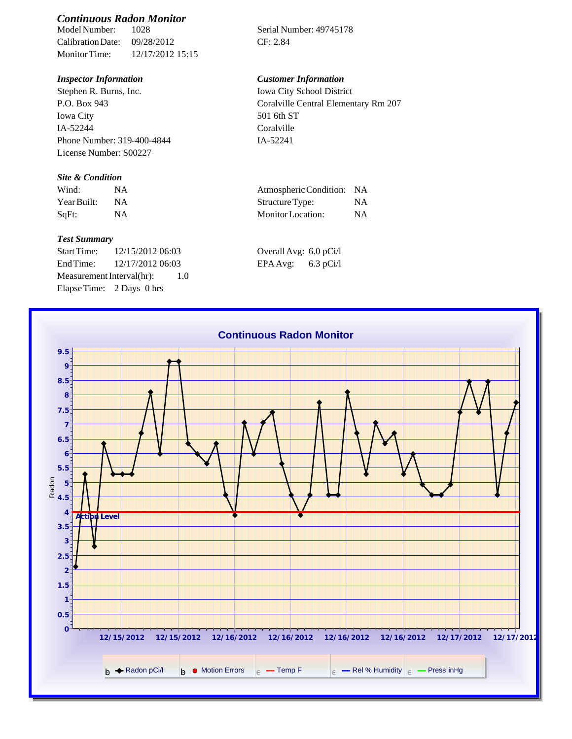# *Continuous Radon Monitor*

Calibration Date: 09/28/2012 CF: 2.84 Monitor Time: 12/17/2012 15:15

Stephen R. Burns, Inc. P.O. Box 943 Iowa City IA-52244 Phone Number: 319-400-4844 License Number: S00227

### *Site & Condition*

| Wind:       | ΝA |  |
|-------------|----|--|
| Year Built: | ΝA |  |
| SqFt:       | ΝA |  |

#### *Test Summary*

Start Time: 12/15/2012 06:03 Overall Avg: 6.0 pCi/l End Time: 12/17/2012 06:03 EPA Avg: 6.3 pCi/l Measurement Interval(hr): 1.0 Elapse Time: 2 Days 0 hrs

Serial Number: 49745178

## *Inspector Information Customer Information*

Iowa City School District Coralville Central Elementary Rm 207 501 6th ST Coralville IA-52241

| Wind:       | Atmospheric Condition: NA |    |
|-------------|---------------------------|----|
| Year Built: | Structure Type:           | NA |
| SqFt:       | Monitor Location:         | ΝA |

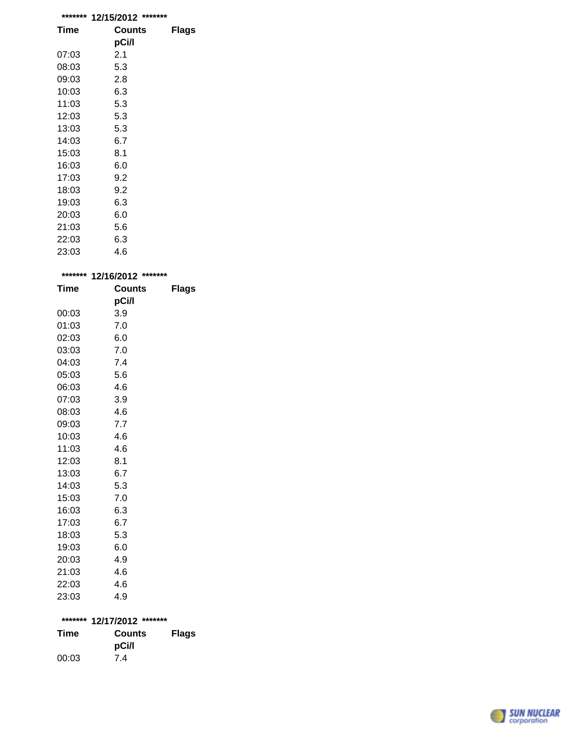| ******* | *******<br>12/15/2012 |              |
|---------|-----------------------|--------------|
| Time    | Counts                | <b>Flags</b> |
|         | pCi/l                 |              |
| 07:03   | 2.1                   |              |
| 08:03   | 5.3                   |              |
| 09:03   | 2.8                   |              |
| 10:03   | 6.3                   |              |
| 11:03   | 5.3                   |              |
| 12:03   | 5.3                   |              |
| 13:03   | 5.3                   |              |
| 14:03   | 6.7                   |              |
| 15:03   | 8.1                   |              |
| 16:03   | 6.0                   |              |
| 17:03   | 9.2                   |              |
| 18:03   | 9.2                   |              |
| 19:03   | 6.3                   |              |
| 20:03   | 6.0                   |              |
| 21:03   | 5.6                   |              |
| 22:03   | 6.3                   |              |
| 23:03   | 4.6                   |              |

| ******* | 12/16/2012 ******* |              |
|---------|--------------------|--------------|
| Time    | <b>Counts</b>      | <b>Flags</b> |
|         | pCi/l              |              |
| 00:03   | 3.9                |              |
| 01:03   | 7.0                |              |
| 02:03   | 6.0                |              |
| 03:03   | 7.0                |              |
| 04:03   | 7.4                |              |
| 05:03   | 5.6                |              |
| 06:03   | 4.6                |              |
| 07:03   | 3.9                |              |
| 08:03   | 4.6                |              |
| 09:03   | 7.7                |              |
| 10:03   | 4.6                |              |
| 11:03   | 4.6                |              |
| 12:03   | 8.1                |              |
| 13:03   | 6.7                |              |
| 14:03   | 5.3                |              |
| 15:03   | 7.0                |              |
| 16:03   | 6.3                |              |
| 17:03   | 6.7                |              |
| 18:03   | 5.3                |              |
| 19:03   | 6.0                |              |
| 20:03   | 4.9                |              |
| 21:03   | 4.6                |              |
| 22:03   | 4.6                |              |
| 23:03   | 4.9                |              |
|         |                    |              |
| ******* | 12/17/2012 ******* |              |
| Time    | <b>Counts</b>      | <b>Flags</b> |
|         | pCi/l              |              |
| 00:03   | 7.4                |              |